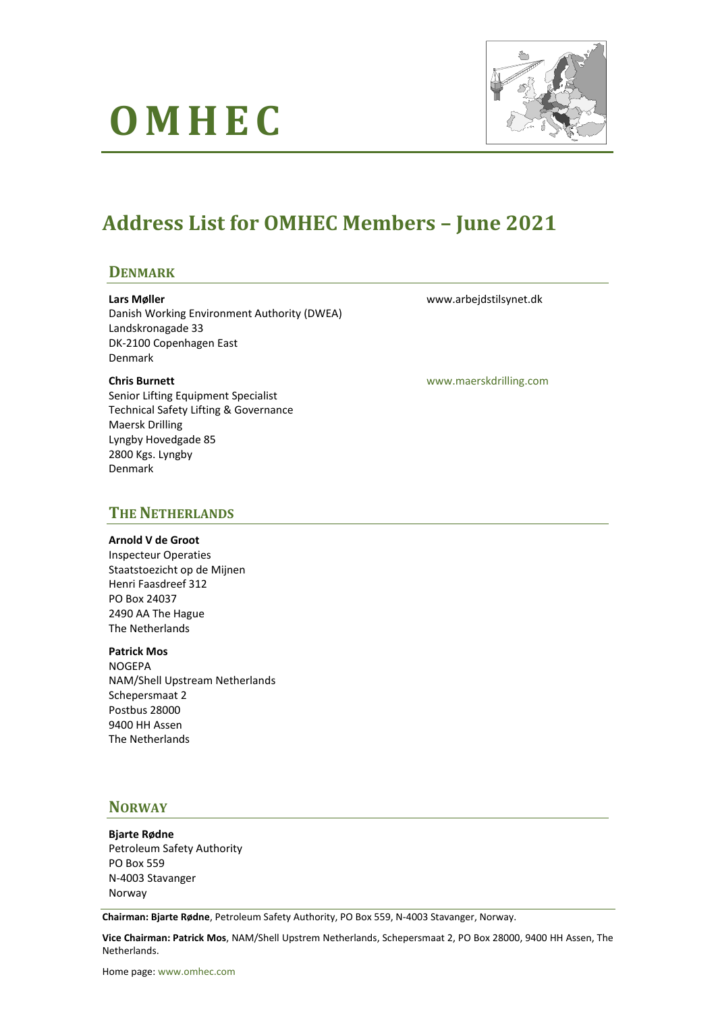# **O M H E C**



# **Address List for OMHEC Members – June 2021**

### **DENMARK**

#### **Lars Møller**

Danish Working Environment Authority (DWEA) Landskronagade 33 DK-2100 Copenhagen East Denmark

#### **Chris Burnett**

Senior Lifting Equipment Specialist Technical Safety Lifting & Governance Maersk Drilling Lyngby Hovedgade 85 2800 Kgs. Lyngby Denmark

www.arbejdstilsynet.dk

[www.maerskdrilling.com](http://www.maerskdrilling.com/)

### **THE NETHERLANDS**

#### **Arnold V de Groot**

Inspecteur Operaties Staatstoezicht op de Mijnen Henri Faasdreef 312 PO Box 24037 2490 AA The Hague The Netherlands

#### **Patrick Mos**

NOGEPA NAM/Shell Upstream Netherlands Schepersmaat 2 Postbus 28000 9400 HH Assen The Netherlands

### **NORWAY**

**Bjarte Rødne** Petroleum Safety Authority PO Box 559 N-4003 Stavanger Norway

**Chairman: Bjarte Rødne**, Petroleum Safety Authority, PO Box 559, N-4003 Stavanger, Norway.

**Vice Chairman: Patrick Mos**, NAM/Shell Upstrem Netherlands, Schepersmaat 2, PO Box 28000, 9400 HH Assen, The Netherlands.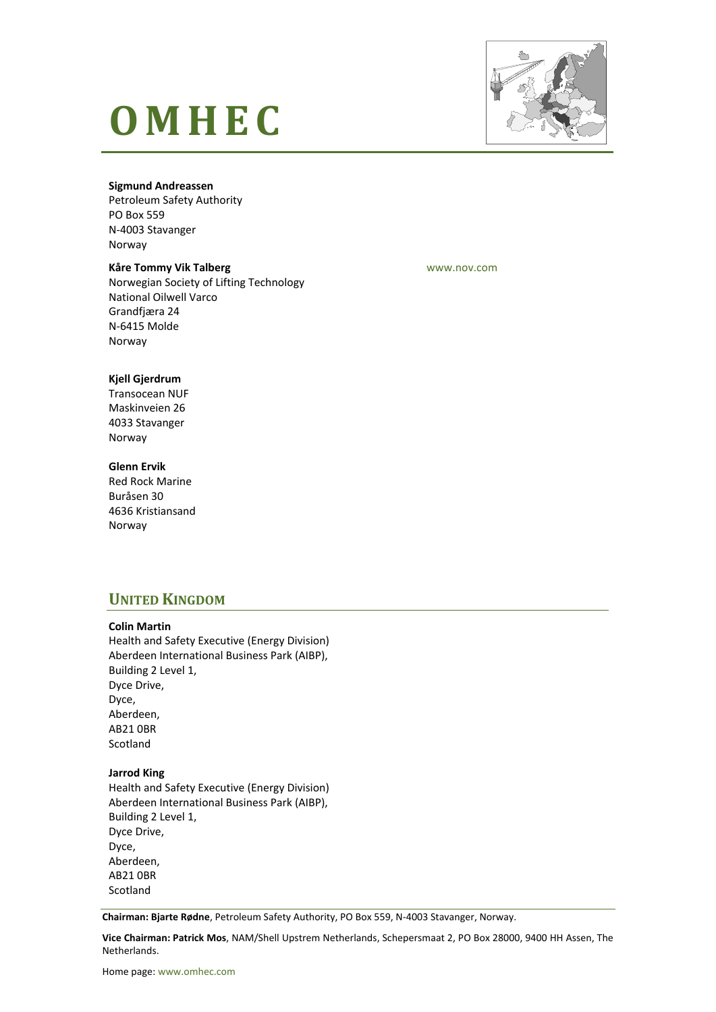# **O M H E C**



#### **Sigmund Andreassen**

Petroleum Safety Authority PO Box 559 N-4003 Stavanger Norway

#### **Kåre Tommy Vik Talberg**

Norwegian Society of Lifting Technology National Oilwell Varco Grandfjæra 24 N-6415 Molde Norway

[www.nov.com](http://www.nov.com/)

#### **Kjell Gjerdrum**

Transocean NUF Maskinveien 26 4033 Stavanger Norway

#### **Glenn Ervik**

Red Rock Marine Buråsen 30 4636 Kristiansand Norway

## **UNITED KINGDOM**

#### **Colin Martin**

Health and Safety Executive (Energy Division) Aberdeen International Business Park (AIBP), Building 2 Level 1, Dyce Drive, Dyce, Aberdeen, AB21 0BR Scotland

#### **Jarrod King**

Health and Safety Executive (Energy Division) Aberdeen International Business Park (AIBP), Building 2 Level 1, Dyce Drive, Dyce, Aberdeen, AB21 0BR **Scotland** 

**Chairman: Bjarte Rødne**, Petroleum Safety Authority, PO Box 559, N-4003 Stavanger, Norway.

**Vice Chairman: Patrick Mos**, NAM/Shell Upstrem Netherlands, Schepersmaat 2, PO Box 28000, 9400 HH Assen, The Netherlands.